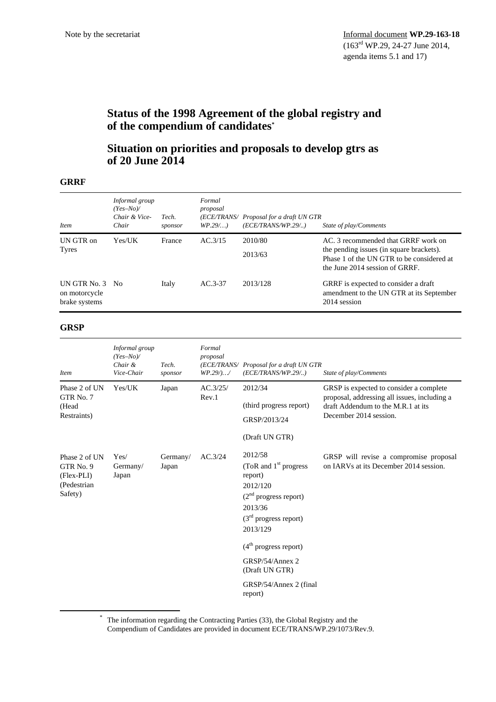# **Status of the 1998 Agreement of the global registry and of the compendium of candidates\***

## **Situation on priorities and proposals to develop gtrs as of 20 June 2014**

#### **GRRF**

| <i>Item</i>                                       | Informal group<br>$(Yes-No)$<br>Chair & Vice-<br>Chair | Tech.<br>sponsor | Formal<br>proposal<br>$WP.29$ | (ECE/TRANS/ Proposal for a draft UN GTR<br>(ECE/TRANS/WP.29/) | State of play/Comments                                                                                                                                         |
|---------------------------------------------------|--------------------------------------------------------|------------------|-------------------------------|---------------------------------------------------------------|----------------------------------------------------------------------------------------------------------------------------------------------------------------|
| UN GTR on<br><b>Tyres</b>                         | Yes/UK                                                 | France           | AC.3/15                       | 2010/80<br>2013/63                                            | AC. 3 recommended that GRRF work on<br>the pending issues (in square brackets).<br>Phase 1 of the UN GTR to be considered at<br>the June 2014 session of GRRF. |
| UN GTR No. 3 No<br>on motorcycle<br>brake systems |                                                        | Italy            | $AC.3-37$                     | 2013/128                                                      | GRRF is expected to consider a draft<br>amendment to the UN GTR at its September<br>2014 session                                                               |

#### **GRSP**

| <b>Item</b>                                                                      | Informal group<br>$(Yes-No)$<br>Chair &<br>Vice-Chair | Tech.<br>sponsor  | Formal<br>proposal<br>WP.29/)/ | (ECE/TRANS/ Proposal for a draft UN GTR<br>(ECE/TRANS/WP.29/)                                                                          | State of play/Comments                                                                                                                                  |
|----------------------------------------------------------------------------------|-------------------------------------------------------|-------------------|--------------------------------|----------------------------------------------------------------------------------------------------------------------------------------|---------------------------------------------------------------------------------------------------------------------------------------------------------|
| Phase 2 of UN<br>GTR No. 7<br>(Head<br>Restraints)                               | Yes/UK                                                | Japan             | AC.3/25/<br>Rev.1              | 2012/34<br>(third progress report)<br>GRSP/2013/24<br>(Draft UN GTR)                                                                   | GRSP is expected to consider a complete<br>proposal, addressing all issues, including a<br>draft Addendum to the M.R.1 at its<br>December 2014 session. |
| Phase 2 of UN<br>GTR <sub>No.</sub> 9<br>$(Flex-PLI)$<br>(Pedestrian)<br>Safety) | Yes/<br>Germany/<br>Japan                             | Germany/<br>Japan | AC.3/24                        | 2012/58<br>(ToR and $1st$ progress<br>report)<br>2012/120<br>$(2nd$ progress report)<br>2013/36<br>$(3rd$ progress report)<br>2013/129 | GRSP will revise a compromise proposal<br>on IARVs at its December 2014 session.                                                                        |
|                                                                                  |                                                       |                   |                                | $(4th$ progress report)                                                                                                                |                                                                                                                                                         |
|                                                                                  |                                                       |                   |                                | GRSP/54/Annex 2<br>(Draft UN GTR)                                                                                                      |                                                                                                                                                         |
|                                                                                  |                                                       |                   |                                | GRSP/54/Annex 2 (final)<br>report)                                                                                                     |                                                                                                                                                         |

 \* The information regarding the Contracting Parties (33), the Global Registry and the Compendium of Candidates are provided in document ECE/TRANS/WP.29/1073/Rev.9.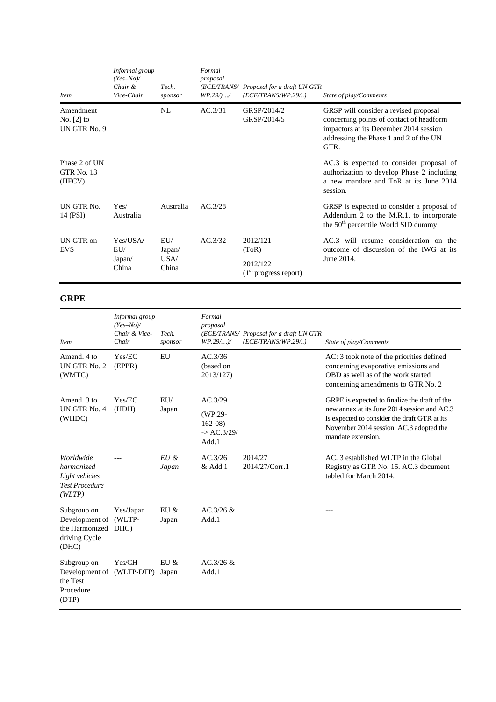| <b>Item</b>                               | Informal group<br>$(Yes-No)$<br>Chair &<br>Vice-Chair | Tech.<br>sponsor               | Formal<br>proposal<br>WP.29/)/ | (ECE/TRANS/ Proposal for a draft UN GTR<br>(ECE/TRANS/WP.29/) | State of play/Comments                                                                                                                                                        |
|-------------------------------------------|-------------------------------------------------------|--------------------------------|--------------------------------|---------------------------------------------------------------|-------------------------------------------------------------------------------------------------------------------------------------------------------------------------------|
| Amendment<br>No. $[2]$ to<br>UN GTR No. 9 |                                                       | NL                             | AC.3/31                        | GRSP/2014/2<br>GRSP/2014/5                                    | GRSP will consider a revised proposal<br>concerning points of contact of headform<br>impactors at its December 2014 session<br>addressing the Phase 1 and 2 of the UN<br>GTR. |
| Phase 2 of UN<br>GTR No. 13<br>(HFCV)     |                                                       |                                |                                |                                                               | AC.3 is expected to consider proposal of<br>authorization to develop Phase 2 including<br>a new mandate and ToR at its June 2014<br>session.                                  |
| UN GTR No.<br>14 (PSI)                    | Yes/<br>Australia                                     | Australia                      | AC.3/28                        |                                                               | GRSP is expected to consider a proposal of<br>Addendum 2 to the M.R.1. to incorporate<br>the 50 <sup>th</sup> percentile World SID dummy                                      |
| UN GTR on<br><b>EVS</b>                   | Yes/USA/<br>EU/<br>Japan/<br>China                    | EU/<br>Japan/<br>USA/<br>China | AC.3/32                        | 2012/121<br>(ToR)                                             | AC.3 will resume consideration on the<br>outcome of discussion of the IWG at its                                                                                              |
|                                           |                                                       |                                |                                | 2012/122<br>$(1st$ progress report)                           | June 2014.                                                                                                                                                                    |

### **GRPE**

| <i>Item</i>                                                                    | Informal group<br>$(Yes-No)$<br>Chair & Vice-<br>Chair | Tech.<br>sponsor  | Formal<br>proposal<br>$WP.29/$ )/                                 | (ECE/TRANS/ Proposal for a draft UN GTR<br>(ECE/TRANS/WP.29/) | State of play/Comments                                                                                                                                                                                        |
|--------------------------------------------------------------------------------|--------------------------------------------------------|-------------------|-------------------------------------------------------------------|---------------------------------------------------------------|---------------------------------------------------------------------------------------------------------------------------------------------------------------------------------------------------------------|
| Amend, 4 to<br>UN GTR No. 2<br>(WMTC)                                          | Yes/EC<br>(EPPR)                                       | EU                | AC.3/36<br>(based on<br>2013/127)                                 |                                                               | AC: 3 took note of the priorities defined<br>concerning evaporative emissions and<br>OBD as well as of the work started<br>concerning amendments to GTR No. 2                                                 |
| Amend, 3 to<br>UN GTR No. 4<br>(WHDC)                                          | Yes/EC<br>(HDH)                                        | EU/<br>Japan      | AC.3/29<br>(WP.29-<br>$162-08$<br>$\rightarrow$ AC.3/29/<br>Add.1 |                                                               | GRPE is expected to finalize the draft of the<br>new annex at its June 2014 session and AC.3<br>is expected to consider the draft GTR at its<br>November 2014 session. AC.3 adopted the<br>mandate extension. |
| Worldwide<br>harmonized<br>Light vehicles<br><b>Test Procedure</b><br>(WLTP)   |                                                        | $E U \&$<br>Japan | AC.3/26<br>& Add.1                                                | 2014/27<br>2014/27/Corr.1                                     | AC. 3 established WLTP in the Global<br>Registry as GTR No. 15. AC.3 document<br>tabled for March 2014.                                                                                                       |
| Subgroup on<br>Development of<br>the Harmonized DHC)<br>driving Cycle<br>(DHC) | Yes/Japan<br>(WLTP-                                    | EU &<br>Japan     | AC.3/26 &<br>Add.1                                                |                                                               |                                                                                                                                                                                                               |
| Subgroup on<br>Development of (WLTP-DTP)<br>the Test<br>Procedure<br>(DTP)     | Yes/CH                                                 | EU &<br>Japan     | AC.3/26 &<br>Add.1                                                |                                                               | $---$                                                                                                                                                                                                         |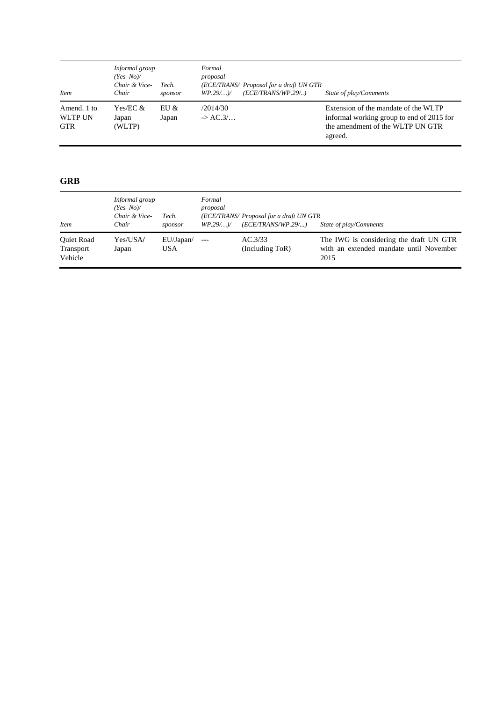| <b>Item</b>                                 | Informal group<br>$(Yes-No)$<br>Chair & Vice-<br>Chair | Tech.<br>sponsor | Formal<br>proposal<br>$WP.29/$ ) | (ECE/TRANS/ Proposal for a draft UN GTR<br>(ECE/TRANS/WP.29/) | State of play/Comments                                                                                                           |
|---------------------------------------------|--------------------------------------------------------|------------------|----------------------------------|---------------------------------------------------------------|----------------------------------------------------------------------------------------------------------------------------------|
| Amend. 1 to<br><b>WLTP UN</b><br><b>GTR</b> | Yes/EC $\&$<br>Japan<br>(WLTP)                         | EUI &<br>Japan   | /2014/30<br>$\rightarrow$ AC.3/  |                                                               | Extension of the mandate of the WLTP<br>informal working group to end of 2015 for<br>the amendment of the WLTP UN GTR<br>agreed. |

### **GRB**

| <i>Item</i>                        | Informal group<br>$(Yes-No)$<br>Chair & Vice-<br>Chair | Tech.<br>sponsor | Formal<br>proposal<br>$WP.29/$ ) | (ECE/TRANS/ Proposal for a draft UN GTR<br>(ECE/TRANS/WP.29/) | State of play/Comments                                                                     |
|------------------------------------|--------------------------------------------------------|------------------|----------------------------------|---------------------------------------------------------------|--------------------------------------------------------------------------------------------|
| Quiet Road<br>Transport<br>Vehicle | Yes/USA/<br>Japan                                      | EU/Japan/<br>USA |                                  | AC.3/33<br>( Including ToR)                                   | The IWG is considering the draft UN GTR<br>with an extended mandate until November<br>2015 |